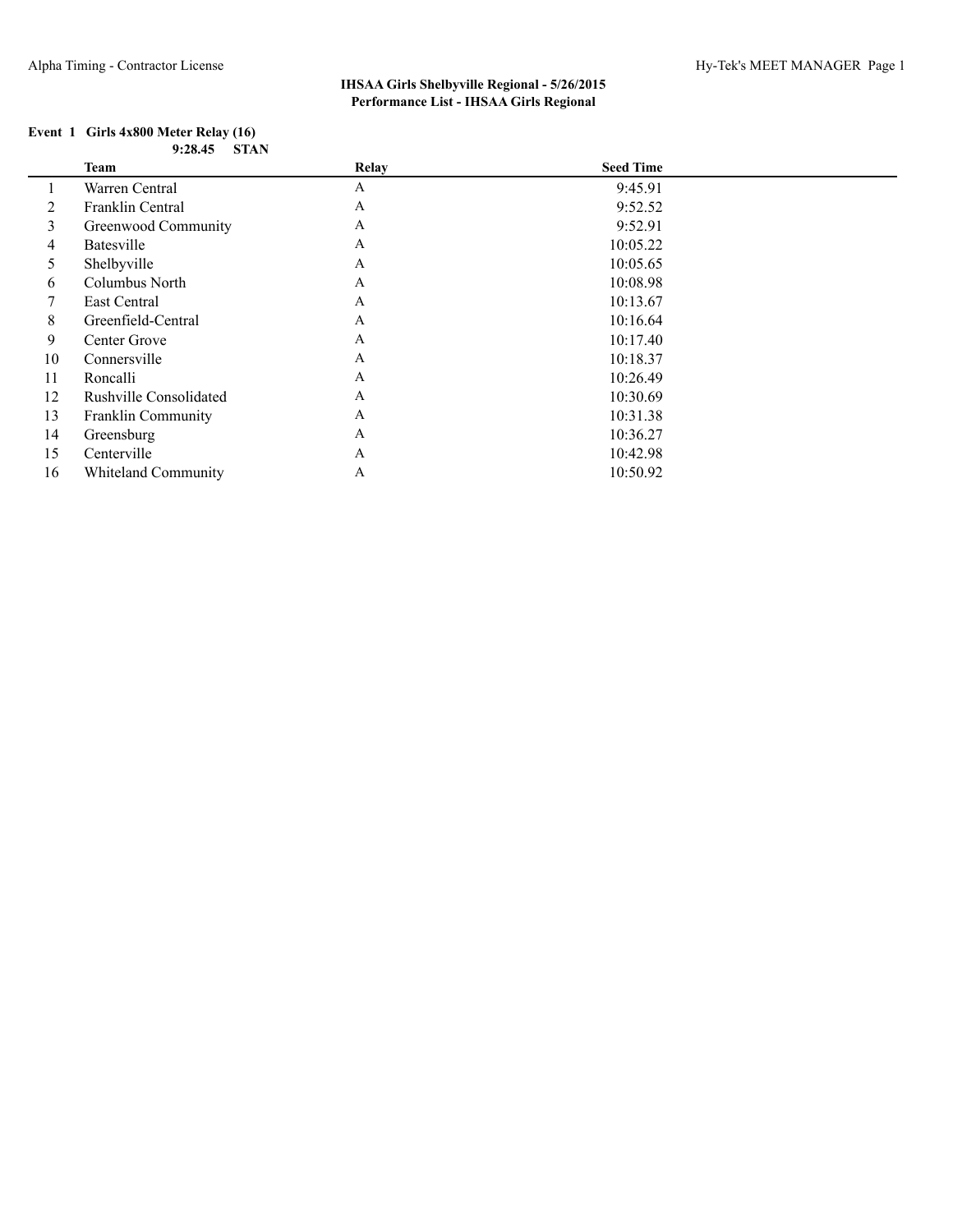### **Event 1 Girls 4x800 Meter Relay (16) 9:28.45 STAN**

|    | Team                          | Relay        | <b>Seed Time</b> |  |
|----|-------------------------------|--------------|------------------|--|
|    | Warren Central                | A            | 9:45.91          |  |
| 2  | Franklin Central              | $\mathbf{A}$ | 9:52.52          |  |
| 3  | Greenwood Community           | A            | 9:52.91          |  |
| 4  | Batesville                    | $\mathbf{A}$ | 10:05.22         |  |
| 5  | Shelbyville                   | $\mathbf{A}$ | 10:05.65         |  |
| 6  | Columbus North                | $\mathbf{A}$ | 10:08.98         |  |
| 7  | East Central                  | $\mathbf{A}$ | 10:13.67         |  |
| 8  | Greenfield-Central            | $\mathbf{A}$ | 10:16.64         |  |
| 9  | Center Grove                  | $\mathbf{A}$ | 10:17.40         |  |
| 10 | Connersville                  | $\mathbf{A}$ | 10:18.37         |  |
| 11 | Roncalli                      | $\mathbf{A}$ | 10:26.49         |  |
| 12 | <b>Rushville Consolidated</b> | $\mathbf{A}$ | 10:30.69         |  |
| 13 | <b>Franklin Community</b>     | $\mathbf{A}$ | 10:31.38         |  |
| 14 | Greensburg                    | $\mathbf{A}$ | 10:36.27         |  |
| 15 | Centerville                   | A            | 10:42.98         |  |
| 16 | <b>Whiteland Community</b>    | A            | 10:50.92         |  |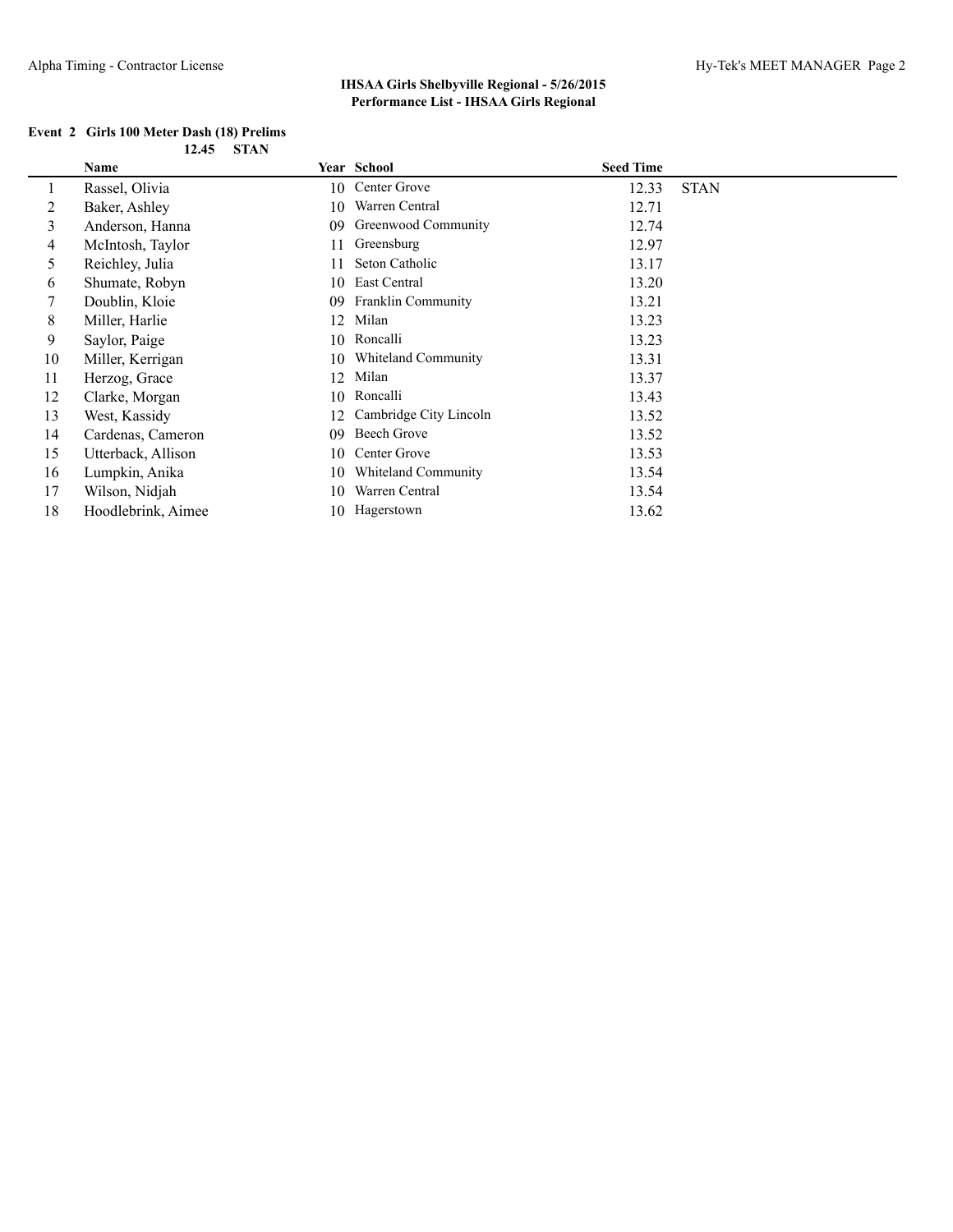| Event 2 Girls 100 Meter Dash (18) Prelims |            |
|-------------------------------------------|------------|
|                                           | 12.45 STAN |

|    | Name               |    | <b>Year School</b>     | <b>Seed Time</b> |             |
|----|--------------------|----|------------------------|------------------|-------------|
|    | Rassel, Olivia     | 10 | Center Grove           | 12.33            | <b>STAN</b> |
| 2  | Baker, Ashley      | 10 | Warren Central         | 12.71            |             |
| 3  | Anderson, Hanna    | 09 | Greenwood Community    | 12.74            |             |
| 4  | McIntosh, Taylor   | 11 | Greensburg             | 12.97            |             |
| 5  | Reichley, Julia    | 11 | Seton Catholic         | 13.17            |             |
| 6  | Shumate, Robyn     | 10 | East Central           | 13.20            |             |
|    | Doublin, Kloie     | 09 | Franklin Community     | 13.21            |             |
| 8  | Miller, Harlie     | 12 | Milan                  | 13.23            |             |
| 9  | Saylor, Paige      |    | 10 Roncalli            | 13.23            |             |
| 10 | Miller, Kerrigan   | 10 | Whiteland Community    | 13.31            |             |
| 11 | Herzog, Grace      | 12 | Milan                  | 13.37            |             |
| 12 | Clarke, Morgan     | 10 | Roncalli               | 13.43            |             |
| 13 | West, Kassidy      | 12 | Cambridge City Lincoln | 13.52            |             |
| 14 | Cardenas, Cameron  | 09 | Beech Grove            | 13.52            |             |
| 15 | Utterback, Allison | 10 | Center Grove           | 13.53            |             |
| 16 | Lumpkin, Anika     | 10 | Whiteland Community    | 13.54            |             |
| 17 | Wilson, Nidjah     | 10 | Warren Central         | 13.54            |             |
| 18 | Hoodlebrink, Aimee | 10 | Hagerstown             | 13.62            |             |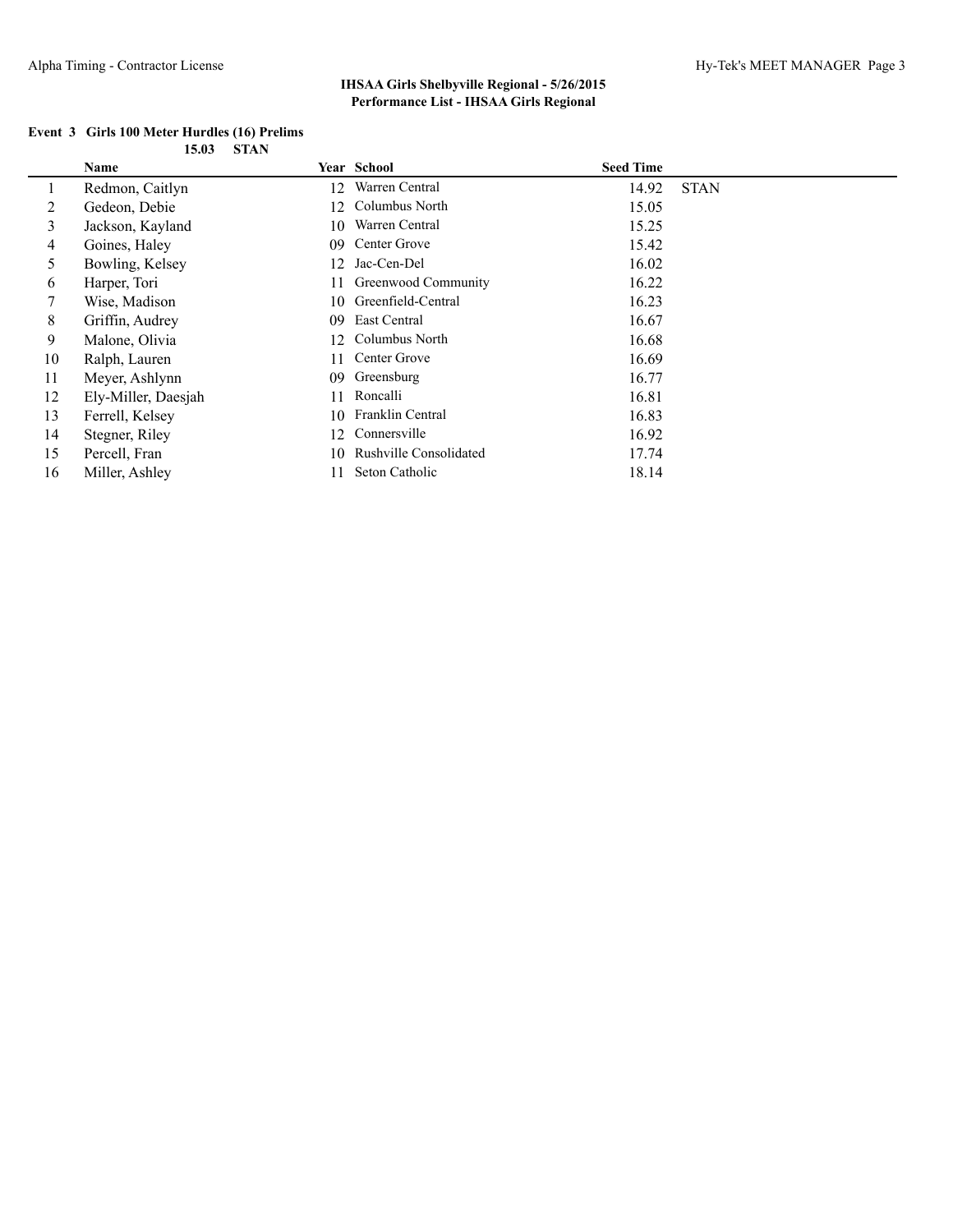|  | Event 3 Girls 100 Meter Hurdles (16) Prelims |            |  |
|--|----------------------------------------------|------------|--|
|  |                                              | 15.03 STAN |  |

|    | Name                |    | Year School                   | <b>Seed Time</b> |             |
|----|---------------------|----|-------------------------------|------------------|-------------|
|    | Redmon, Caitlyn     | 12 | Warren Central                | 14.92            | <b>STAN</b> |
| 2  | Gedeon, Debie       | 12 | Columbus North                | 15.05            |             |
| 3  | Jackson, Kayland    | 10 | Warren Central                | 15.25            |             |
| 4  | Goines, Haley       | 09 | Center Grove                  | 15.42            |             |
| 5  | Bowling, Kelsey     | 12 | Jac-Cen-Del                   | 16.02            |             |
| 6  | Harper, Tori        |    | Greenwood Community           | 16.22            |             |
| 7  | Wise, Madison       | 10 | Greenfield-Central            | 16.23            |             |
| 8  | Griffin, Audrey     | 09 | East Central                  | 16.67            |             |
| 9  | Malone, Olivia      | 12 | Columbus North                | 16.68            |             |
| 10 | Ralph, Lauren       | 11 | Center Grove                  | 16.69            |             |
| 11 | Meyer, Ashlynn      | 09 | Greensburg                    | 16.77            |             |
| 12 | Ely-Miller, Daesjah | 11 | Roncalli                      | 16.81            |             |
| 13 | Ferrell, Kelsey     | 10 | Franklin Central              | 16.83            |             |
| 14 | Stegner, Riley      | 12 | Connersville                  | 16.92            |             |
| 15 | Percell, Fran       | 10 | <b>Rushville Consolidated</b> | 17.74            |             |
| 16 | Miller, Ashley      | 11 | Seton Catholic                | 18.14            |             |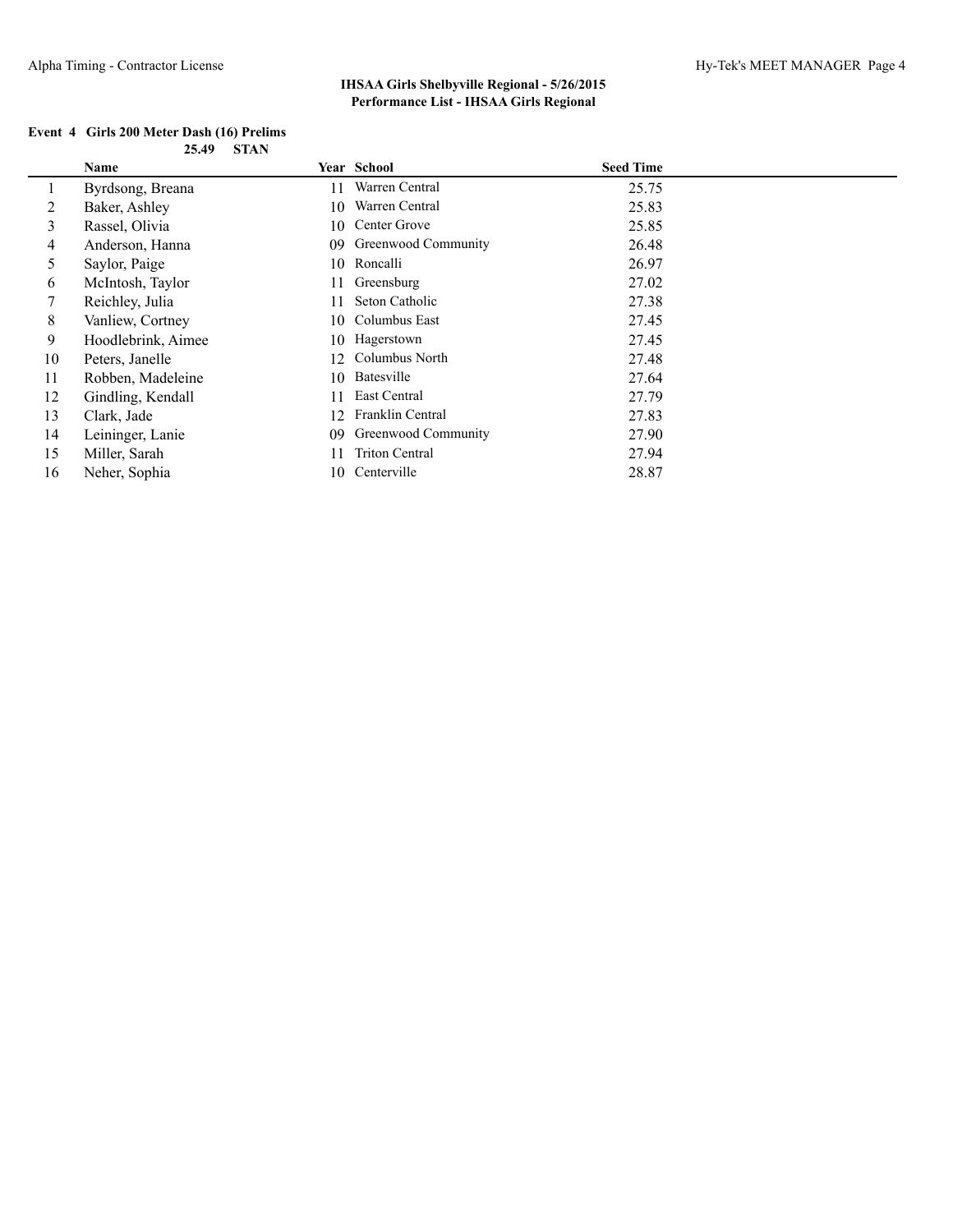| Event 4 Girls 200 Meter Dash (16) Prelims |            |
|-------------------------------------------|------------|
|                                           | 25.49 STAN |

|    | Name               |    | Year School           | <b>Seed Time</b> |
|----|--------------------|----|-----------------------|------------------|
|    | Byrdsong, Breana   | 11 | Warren Central        | 25.75            |
| 2  | Baker, Ashley      | 10 | Warren Central        | 25.83            |
| 3  | Rassel, Olivia     | 10 | Center Grove          | 25.85            |
| 4  | Anderson, Hanna    | 09 | Greenwood Community   | 26.48            |
| 5  | Saylor, Paige      | 10 | Roncalli              | 26.97            |
| 6  | McIntosh, Taylor   | 11 | Greensburg            | 27.02            |
| 7  | Reichley, Julia    | 11 | Seton Catholic        | 27.38            |
| 8  | Vanliew, Cortney   | 10 | Columbus East         | 27.45            |
| 9  | Hoodlebrink, Aimee |    | 10 Hagerstown         | 27.45            |
| 10 | Peters, Janelle    | 12 | Columbus North        | 27.48            |
| 11 | Robben, Madeleine  | 10 | Batesville            | 27.64            |
| 12 | Gindling, Kendall  | 11 | East Central          | 27.79            |
| 13 | Clark, Jade        | 12 | Franklin Central      | 27.83            |
| 14 | Leininger, Lanie   | 09 | Greenwood Community   | 27.90            |
| 15 | Miller, Sarah      | 11 | <b>Triton Central</b> | 27.94            |
| 16 | Neher, Sophia      | 10 | Centerville           | 28.87            |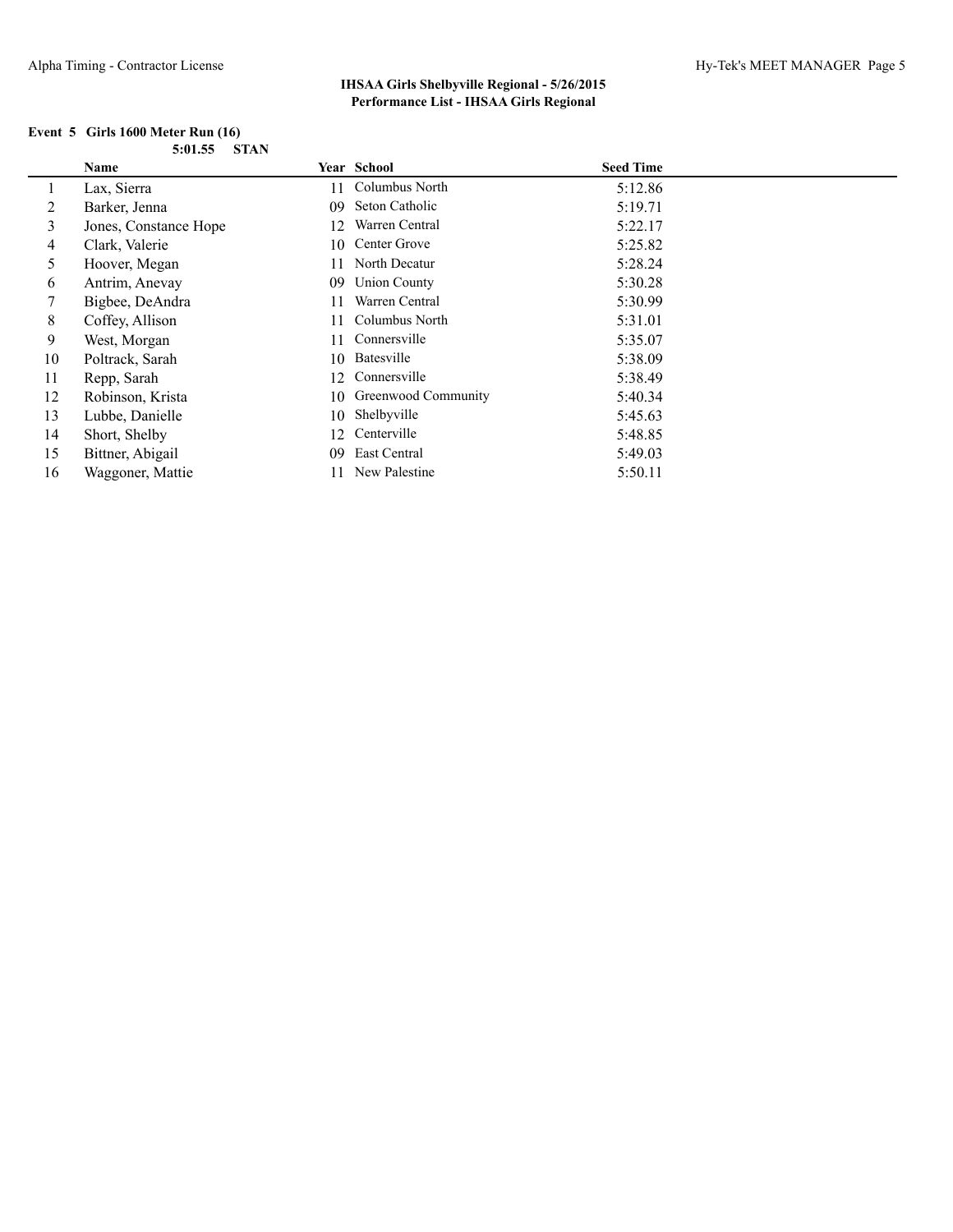|  | Event $5$ Girls 1600 Meter Run $(16)$ |                |
|--|---------------------------------------|----------------|
|  |                                       | $5:01.55$ STAN |

|    | Name                  |     | Year School         | <b>Seed Time</b> |
|----|-----------------------|-----|---------------------|------------------|
|    | Lax, Sierra           | 11  | Columbus North      | 5:12.86          |
| 2  | Barker, Jenna         | 09  | Seton Catholic      | 5:19.71          |
| 3  | Jones, Constance Hope | 12  | Warren Central      | 5:22.17          |
| 4  | Clark, Valerie        | 10  | Center Grove        | 5:25.82          |
| 5. | Hoover, Megan         | 11  | North Decatur       | 5:28.24          |
| 6  | Antrim, Anevay        | 09  | <b>Union County</b> | 5:30.28          |
|    | Bigbee, DeAndra       | 11  | Warren Central      | 5:30.99          |
| 8  | Coffey, Allison       | 11  | Columbus North      | 5:31.01          |
| 9  | West, Morgan          | 11  | Connersville        | 5:35.07          |
| 10 | Poltrack, Sarah       | 10  | Batesville          | 5:38.09          |
| 11 | Repp, Sarah           | 12. | Connersville        | 5:38.49          |
| 12 | Robinson, Krista      | 10  | Greenwood Community | 5:40.34          |
| 13 | Lubbe, Danielle       | 10  | Shelbyville         | 5:45.63          |
| 14 | Short, Shelby         | 12. | Centerville         | 5:48.85          |
| 15 | Bittner, Abigail      | 09  | East Central        | 5:49.03          |
| 16 | Waggoner, Mattie      | 11  | New Palestine       | 5:50.11          |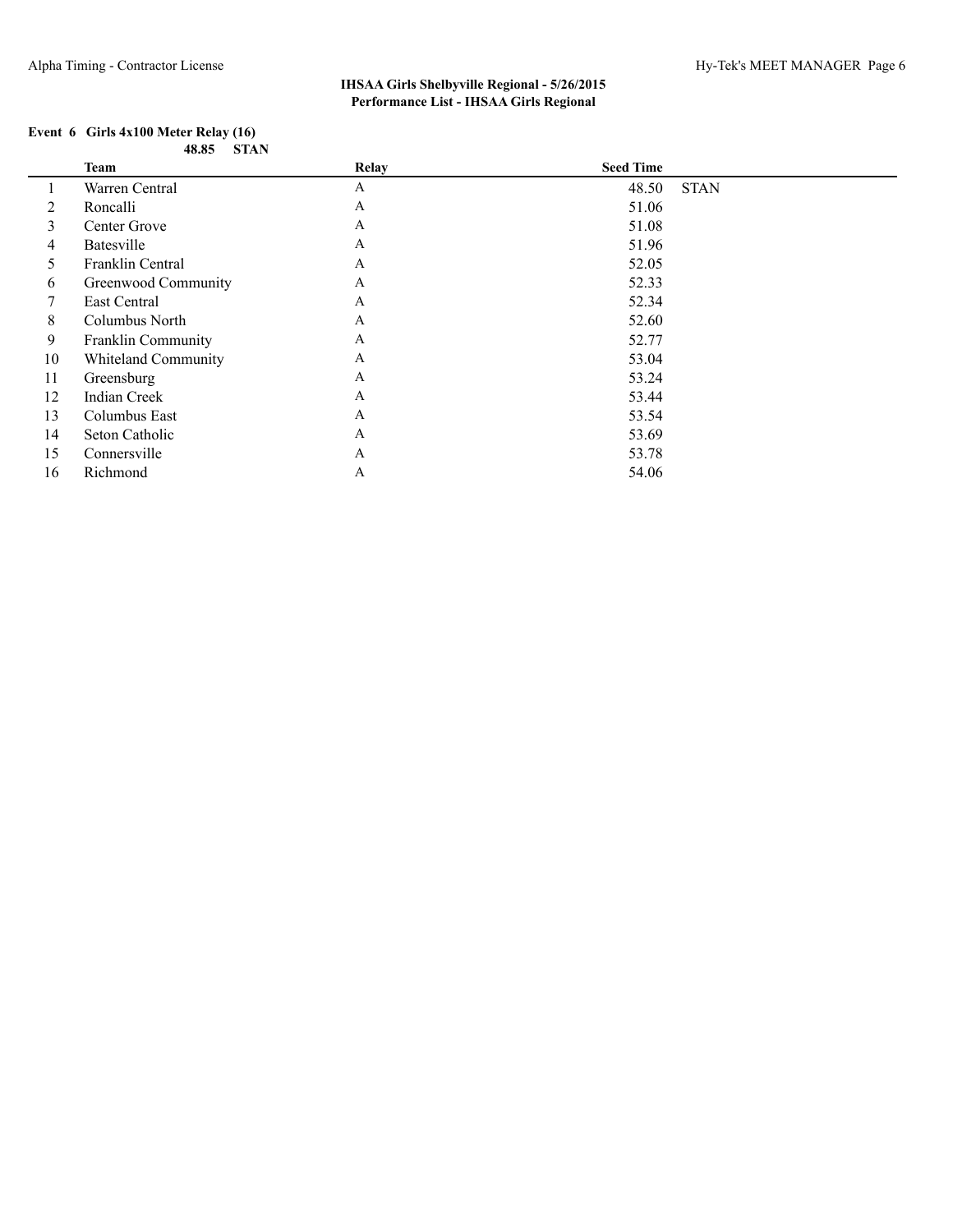#### **Event 6 Girls 4x100 Meter Relay (16) 48.85 STAN**

|                | Team                      | Relay        | <b>Seed Time</b> |             |
|----------------|---------------------------|--------------|------------------|-------------|
|                | Warren Central            | A            | 48.50            | <b>STAN</b> |
| $\overline{2}$ | Roncalli                  | A            | 51.06            |             |
| 3              | Center Grove              | A            | 51.08            |             |
| 4              | Batesville                | $\mathbf{A}$ | 51.96            |             |
| 5              | Franklin Central          | A            | 52.05            |             |
| 6              | Greenwood Community       | A            | 52.33            |             |
| 7              | East Central              | A            | 52.34            |             |
| 8              | Columbus North            | A            | 52.60            |             |
| 9              | <b>Franklin Community</b> | A            | 52.77            |             |
| 10             | Whiteland Community       | A            | 53.04            |             |
| 11             | Greensburg                | A            | 53.24            |             |
| 12             | Indian Creek              | A            | 53.44            |             |
| 13             | Columbus East             | A            | 53.54            |             |
| 14             | Seton Catholic            | A            | 53.69            |             |
| 15             | Connersville              | $\mathbf{A}$ | 53.78            |             |
| 16             | Richmond                  | A            | 54.06            |             |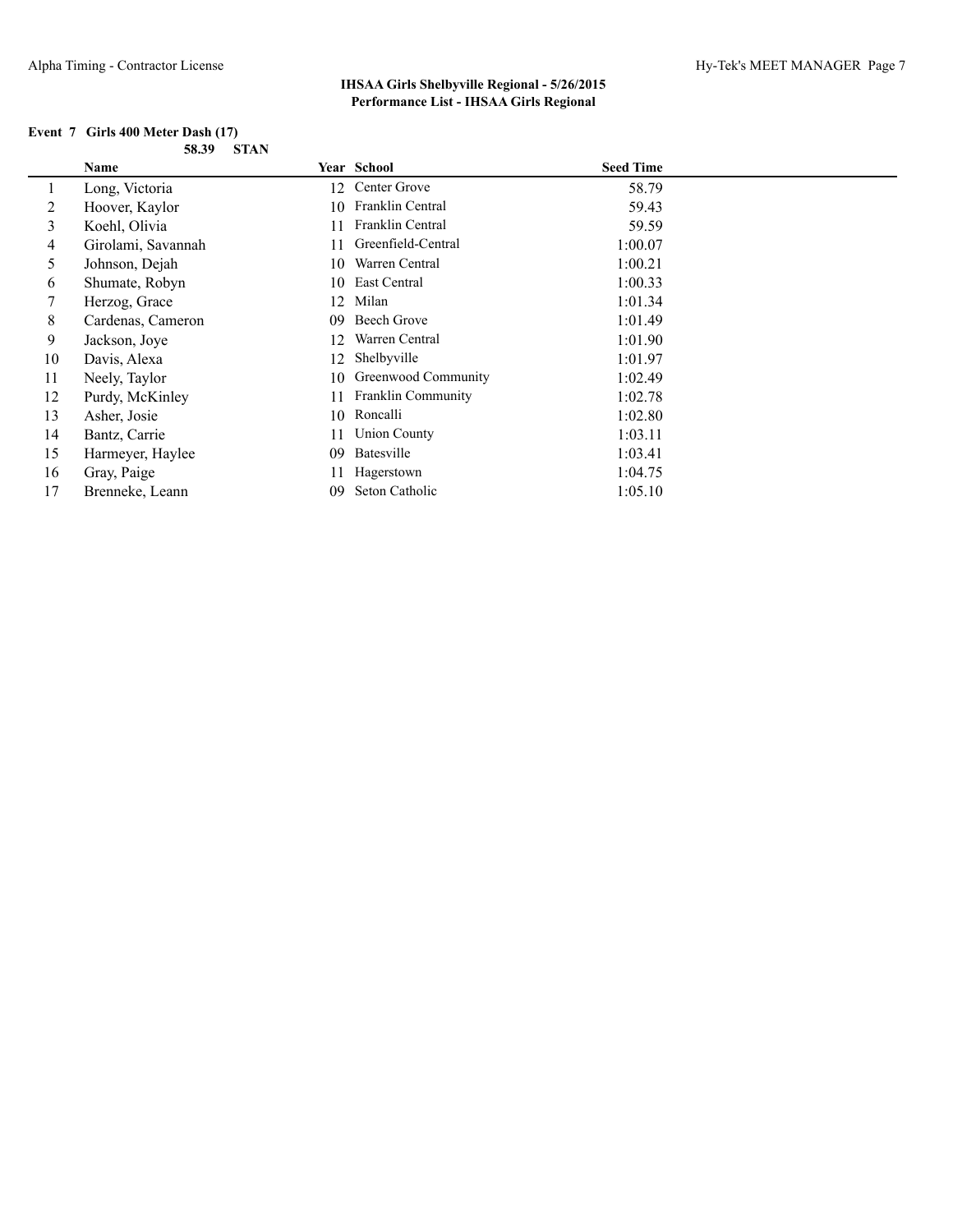| Event 7 Girls 400 Meter Dash (17) |            |  |
|-----------------------------------|------------|--|
|                                   | 58.39 STAN |  |

|    | Name               |     | Year School               | <b>Seed Time</b> |
|----|--------------------|-----|---------------------------|------------------|
|    | Long, Victoria     | 12  | Center Grove              | 58.79            |
| 2  | Hoover, Kaylor     | 10  | Franklin Central          | 59.43            |
| 3  | Koehl, Olivia      | 11. | Franklin Central          | 59.59            |
| 4  | Girolami, Savannah | 11. | Greenfield-Central        | 1:00.07          |
| 5  | Johnson, Dejah     | 10  | Warren Central            | 1:00.21          |
| 6  | Shumate, Robyn     | 10  | East Central              | 1:00.33          |
|    | Herzog, Grace      | 12  | Milan                     | 1:01.34          |
| 8  | Cardenas, Cameron  | 09  | Beech Grove               | 1:01.49          |
| 9  | Jackson, Joye      | 12  | Warren Central            | 1:01.90          |
| 10 | Davis, Alexa       | 12  | Shelbyville               | 1:01.97          |
| 11 | Neely, Taylor      | 10  | Greenwood Community       | 1:02.49          |
| 12 | Purdy, McKinley    | 11  | <b>Franklin Community</b> | 1:02.78          |
| 13 | Asher, Josie       | 10  | Roncalli                  | 1:02.80          |
| 14 | Bantz, Carrie      | 11  | <b>Union County</b>       | 1:03.11          |
| 15 | Harmeyer, Haylee   | 09  | Batesville                | 1:03.41          |
| 16 | Gray, Paige        | 11  | Hagerstown                | 1:04.75          |
| 17 | Brenneke, Leann    | 09  | Seton Catholic            | 1:05.10          |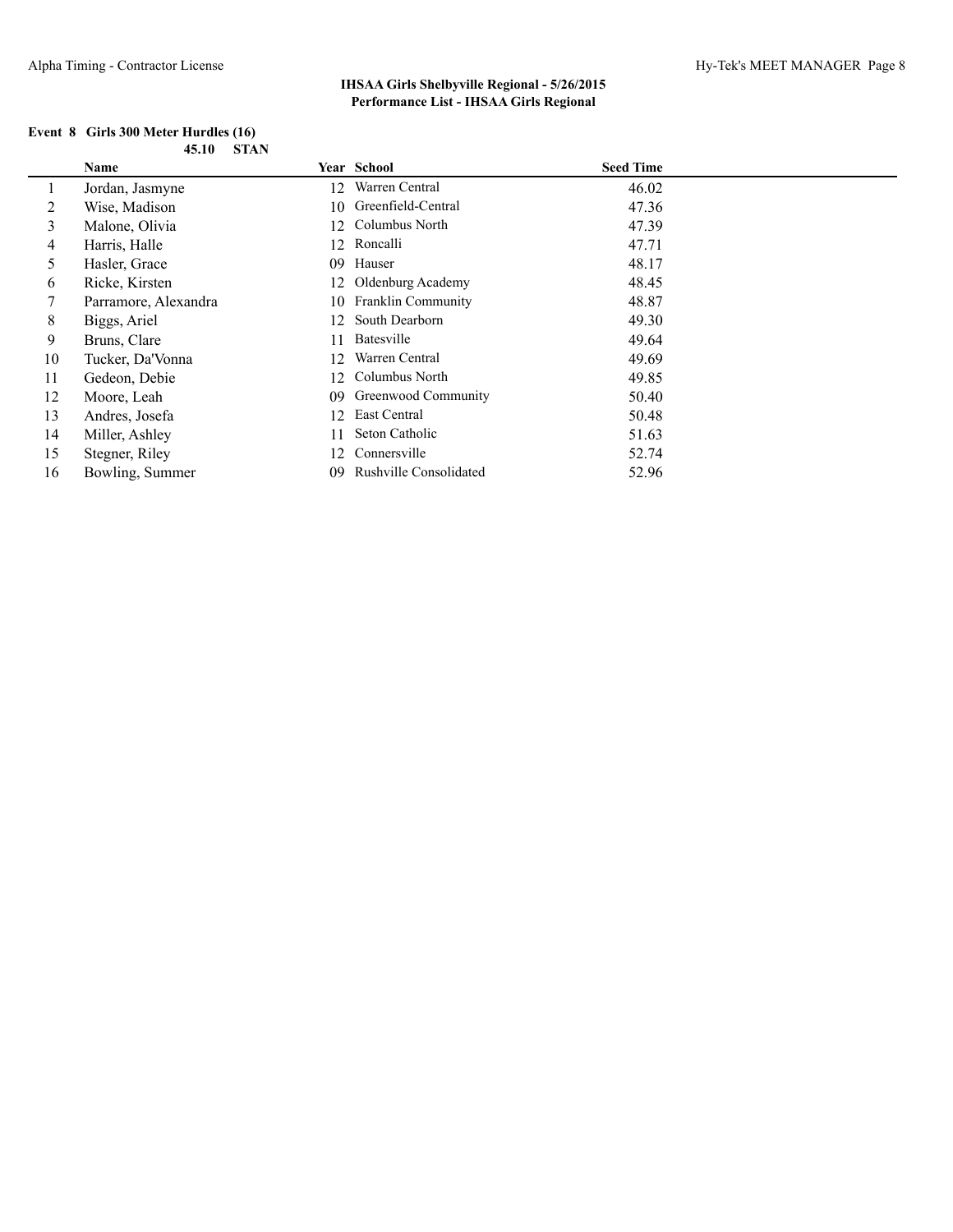| Event 8 Girls 300 Meter Hurdles (16) |       |        |
|--------------------------------------|-------|--------|
|                                      | 45.10 | - STAN |

|                | <b>Name</b>          |     | Year School            | <b>Seed Time</b> |
|----------------|----------------------|-----|------------------------|------------------|
| 1              | Jordan, Jasmyne      | 12  | Warren Central         | 46.02            |
| 2              | Wise, Madison        |     | 10 Greenfield-Central  | 47.36            |
| 3              | Malone, Olivia       |     | 12 Columbus North      | 47.39            |
| $\overline{4}$ | Harris, Halle        |     | 12 Roncalli            | 47.71            |
| 5              | Hasler, Grace        | 09  | Hauser                 | 48.17            |
| 6              | Ricke, Kirsten       |     | 12 Oldenburg Academy   | 48.45            |
| 7              | Parramore, Alexandra |     | 10 Franklin Community  | 48.87            |
| 8              | Biggs, Ariel         | 12  | South Dearborn         | 49.30            |
| 9              | Bruns, Clare         | 11  | Batesville             | 49.64            |
| 10             | Tucker, Da'Vonna     | 12  | Warren Central         | 49.69            |
| 11             | Gedeon, Debie        | 12  | Columbus North         | 49.85            |
| 12             | Moore, Leah          | 09. | Greenwood Community    | 50.40            |
| 13             | Andres, Josefa       | 12  | East Central           | 50.48            |
| 14             | Miller, Ashley       |     | Seton Catholic         | 51.63            |
| 15             | Stegner, Riley       | 12  | Connersville           | 52.74            |
| 16             | Bowling, Summer      | 09  | Rushville Consolidated | 52.96            |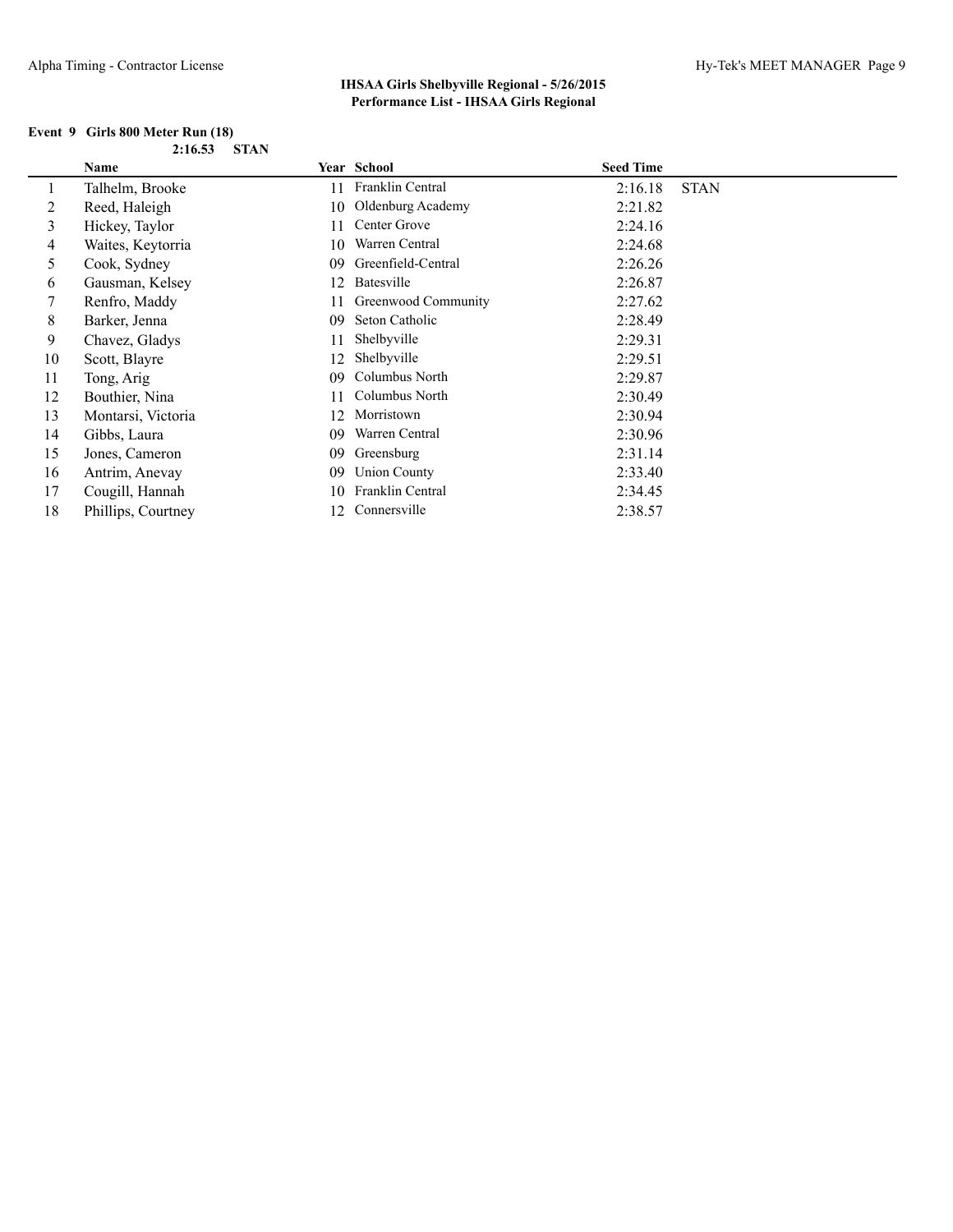| Event 9 Girls 800 Meter Run (18) |  |
|----------------------------------|--|
| $2:16.53$ STAN                   |  |

|    | Name               |    | Year School         | <b>Seed Time</b> |             |
|----|--------------------|----|---------------------|------------------|-------------|
|    | Talhelm, Brooke    | 11 | Franklin Central    | 2:16.18          | <b>STAN</b> |
| 2  | Reed, Haleigh      | 10 | Oldenburg Academy   | 2:21.82          |             |
| 3  | Hickey, Taylor     | 11 | Center Grove        | 2:24.16          |             |
| 4  | Waites, Keytorria  | 10 | Warren Central      | 2:24.68          |             |
| 5  | Cook, Sydney       | 09 | Greenfield-Central  | 2:26.26          |             |
| 6  | Gausman, Kelsey    | 12 | Batesville          | 2:26.87          |             |
|    | Renfro, Maddy      | 11 | Greenwood Community | 2:27.62          |             |
| 8  | Barker, Jenna      | 09 | Seton Catholic      | 2:28.49          |             |
| 9  | Chavez, Gladys     | 11 | Shelbyville         | 2:29.31          |             |
| 10 | Scott, Blayre      | 12 | Shelbyville         | 2:29.51          |             |
| 11 | Tong, Arig         | 09 | Columbus North      | 2:29.87          |             |
| 12 | Bouthier, Nina     | 11 | Columbus North      | 2:30.49          |             |
| 13 | Montarsi, Victoria | 12 | Morristown          | 2:30.94          |             |
| 14 | Gibbs, Laura       | 09 | Warren Central      | 2:30.96          |             |
| 15 | Jones, Cameron     | 09 | Greensburg          | 2:31.14          |             |
| 16 | Antrim, Anevay     | 09 | <b>Union County</b> | 2:33.40          |             |
| 17 | Cougill, Hannah    | 10 | Franklin Central    | 2:34.45          |             |
| 18 | Phillips, Courtney | 12 | Connersville        | 2:38.57          |             |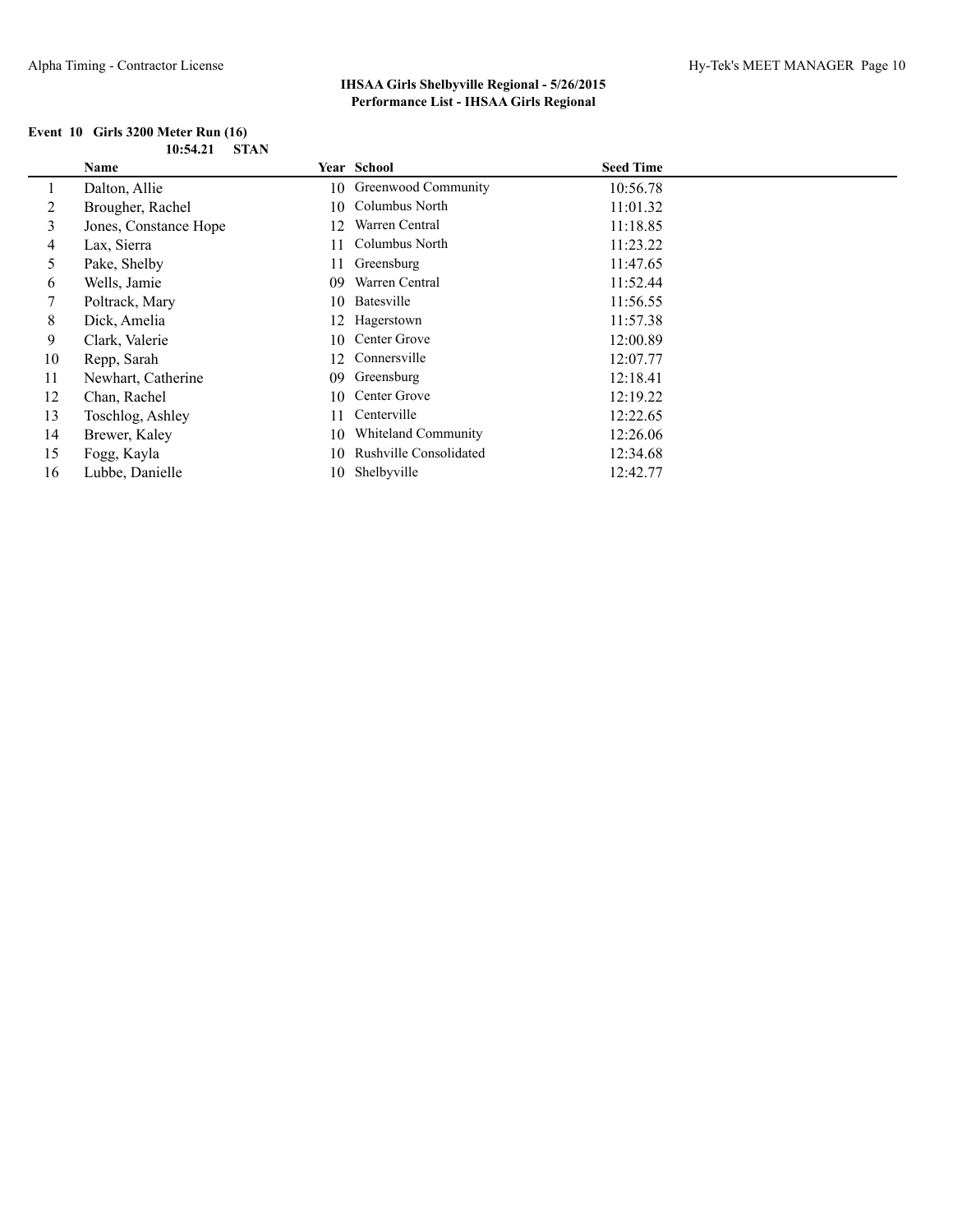|  | Event 10 Girls 3200 Meter Run (16) |             |
|--|------------------------------------|-------------|
|  | 10:54.21                           | <b>STAN</b> |

|    | Name                  |     | Year School                   | <b>Seed Time</b> |  |
|----|-----------------------|-----|-------------------------------|------------------|--|
|    | Dalton, Allie         |     | 10 Greenwood Community        | 10:56.78         |  |
| 2  | Brougher, Rachel      | 10  | Columbus North                | 11:01.32         |  |
| 3  | Jones, Constance Hope | 12  | Warren Central                | 11:18.85         |  |
| 4  | Lax, Sierra           | 11. | Columbus North                | 11:23.22         |  |
| 5  | Pake, Shelby          | 11  | Greensburg                    | 11:47.65         |  |
| 6  | Wells, Jamie          | 09  | Warren Central                | 11:52.44         |  |
|    | Poltrack, Mary        | 10  | Batesville                    | 11:56.55         |  |
| 8  | Dick, Amelia          | 12  | Hagerstown                    | 11:57.38         |  |
| 9  | Clark, Valerie        | 10  | Center Grove                  | 12:00.89         |  |
| 10 | Repp, Sarah           | 12  | Connersville                  | 12:07.77         |  |
| 11 | Newhart, Catherine    | 09  | Greensburg                    | 12:18.41         |  |
| 12 | Chan, Rachel          | 10  | Center Grove                  | 12:19.22         |  |
| 13 | Toschlog, Ashley      | 11  | Centerville                   | 12:22.65         |  |
| 14 | Brewer, Kaley         | 10  | Whiteland Community           | 12:26.06         |  |
| 15 | Fogg, Kayla           | 10  | <b>Rushville Consolidated</b> | 12:34.68         |  |
| 16 | Lubbe, Danielle       |     | 10 Shelbyville                | 12:42.77         |  |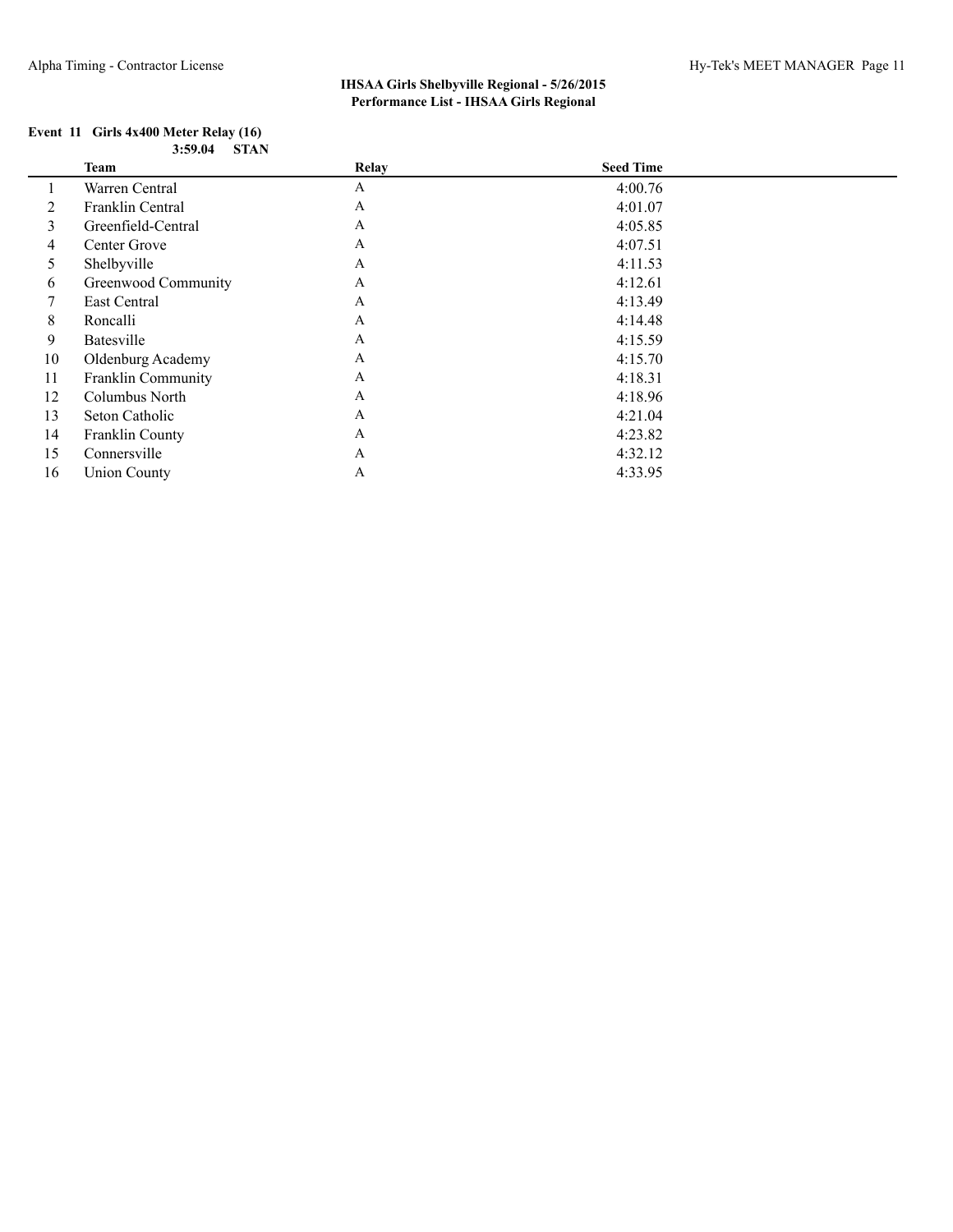#### **Event 11 Girls 4x400 Meter Relay (16) 3:59.04 STAN**

|    | Team                      | Relay        | <b>Seed Time</b> |  |
|----|---------------------------|--------------|------------------|--|
|    | Warren Central            | A            | 4:00.76          |  |
| 2  | Franklin Central          | $\mathbf{A}$ | 4:01.07          |  |
| 3  | Greenfield-Central        | $\mathbf{A}$ | 4:05.85          |  |
| 4  | Center Grove              | $\mathbf{A}$ | 4:07.51          |  |
| 5  | Shelbyville               | $\mathbf{A}$ | 4:11.53          |  |
| 6  | Greenwood Community       | $\mathbf{A}$ | 4:12.61          |  |
| 7  | East Central              | A            | 4:13.49          |  |
| 8  | Roncalli                  | $\mathbf{A}$ | 4:14.48          |  |
| 9  | Batesville                | $\mathbf{A}$ | 4:15.59          |  |
| 10 | Oldenburg Academy         | $\mathbf{A}$ | 4:15.70          |  |
| 11 | <b>Franklin Community</b> | $\mathbf{A}$ | 4:18.31          |  |
| 12 | Columbus North            | $\mathbf{A}$ | 4:18.96          |  |
| 13 | Seton Catholic            | A            | 4:21.04          |  |
| 14 | Franklin County           | $\mathbf{A}$ | 4:23.82          |  |
| 15 | Connersville              | A            | 4:32.12          |  |
| 16 | <b>Union County</b>       | A            | 4:33.95          |  |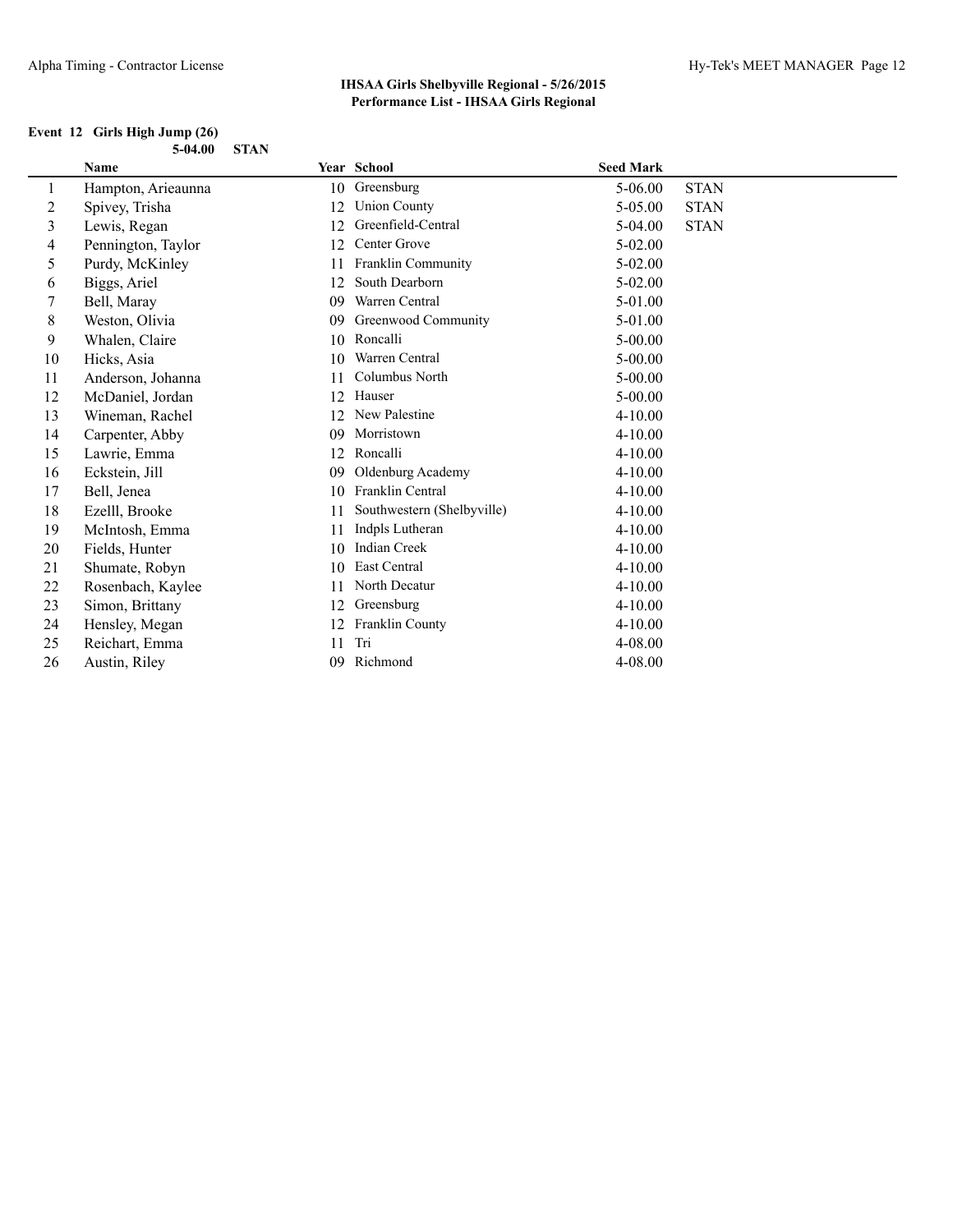### **Event 12 Girls High Jump (26) 5-04.00 STAN**

|    | Name               |    | Year School                | <b>Seed Mark</b> |             |
|----|--------------------|----|----------------------------|------------------|-------------|
| 1  | Hampton, Arieaunna | 10 | Greensburg                 | 5-06.00          | <b>STAN</b> |
| 2  | Spivey, Trisha     | 12 | <b>Union County</b>        | 5-05.00          | <b>STAN</b> |
| 3  | Lewis, Regan       | 12 | Greenfield-Central         | $5-04.00$        | <b>STAN</b> |
| 4  | Pennington, Taylor | 12 | Center Grove               | $5 - 02.00$      |             |
| 5  | Purdy, McKinley    | 11 | Franklin Community         | $5 - 02.00$      |             |
| 6  | Biggs, Ariel       | 12 | South Dearborn             | $5-02.00$        |             |
| 7  | Bell, Maray        | 09 | Warren Central             | 5-01.00          |             |
| 8  | Weston, Olivia     | 09 | Greenwood Community        | 5-01.00          |             |
| 9  | Whalen, Claire     | 10 | Roncalli                   | $5 - 00.00$      |             |
| 10 | Hicks, Asia        | 10 | Warren Central             | $5 - 00.00$      |             |
| 11 | Anderson, Johanna  | 11 | Columbus North             | $5 - 00.00$      |             |
| 12 | McDaniel, Jordan   | 12 | Hauser                     | $5 - 00.00$      |             |
| 13 | Wineman, Rachel    | 12 | New Palestine              | 4-10.00          |             |
| 14 | Carpenter, Abby    | 09 | Morristown                 | $4 - 10.00$      |             |
| 15 | Lawrie, Emma       | 12 | Roncalli                   | 4-10.00          |             |
| 16 | Eckstein, Jill     | 09 | Oldenburg Academy          | $4 - 10.00$      |             |
| 17 | Bell, Jenea        | 10 | Franklin Central           | 4-10.00          |             |
| 18 | Ezelll, Brooke     | 11 | Southwestern (Shelbyville) | $4 - 10.00$      |             |
| 19 | McIntosh, Emma     | 11 | Indpls Lutheran            | $4 - 10.00$      |             |
| 20 | Fields, Hunter     | 10 | <b>Indian Creek</b>        | 4-10.00          |             |
| 21 | Shumate, Robyn     | 10 | East Central               | 4-10.00          |             |
| 22 | Rosenbach, Kaylee  | 11 | North Decatur              | $4 - 10.00$      |             |
| 23 | Simon, Brittany    | 12 | Greensburg                 | 4-10.00          |             |
| 24 | Hensley, Megan     | 12 | Franklin County            | $4 - 10.00$      |             |
| 25 | Reichart, Emma     | 11 | Tri                        | 4-08.00          |             |
| 26 | Austin, Riley      | 09 | Richmond                   | 4-08.00          |             |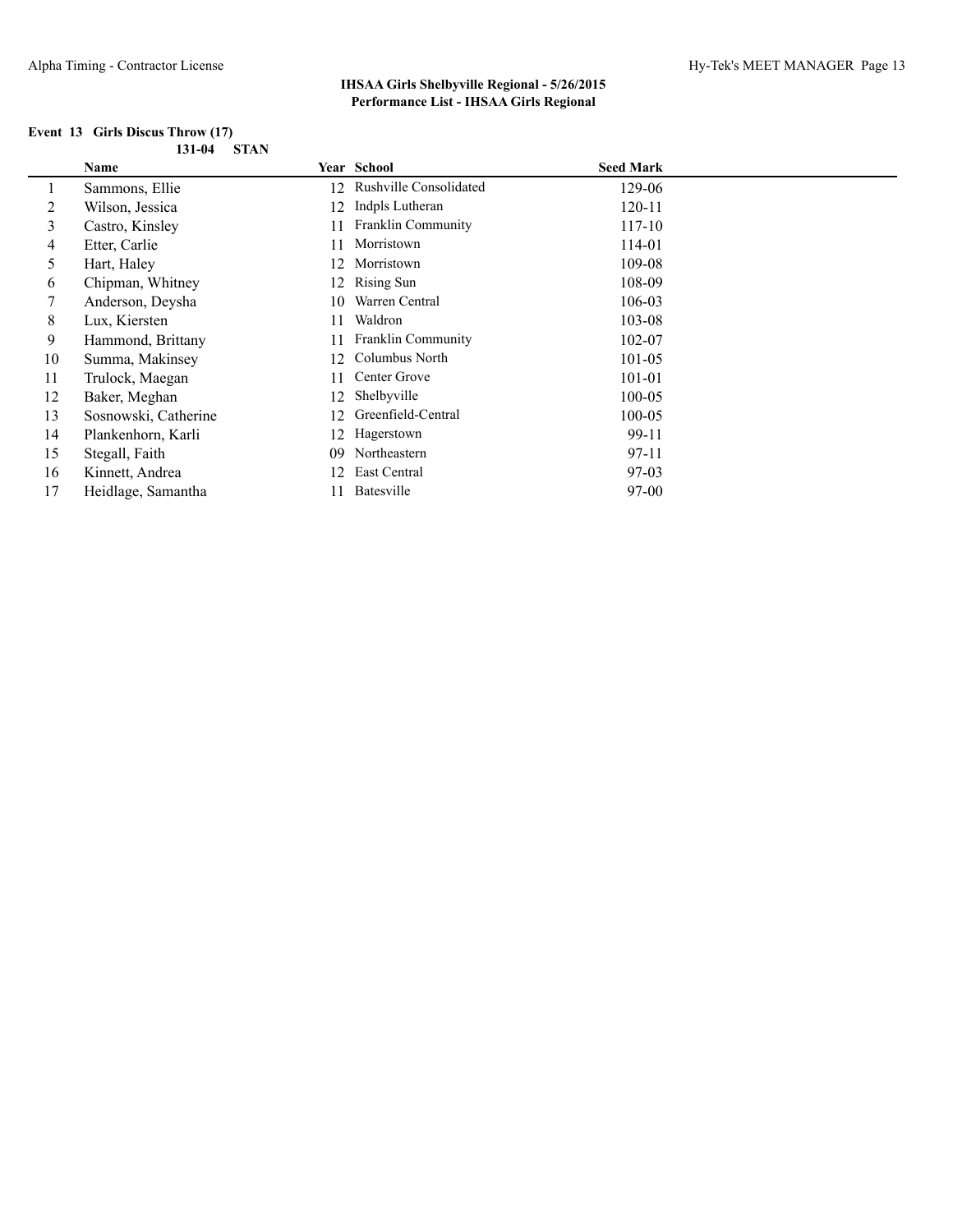| Event 13 Girls Discus Throw (17) |  |             |
|----------------------------------|--|-------------|
|                                  |  | 131-04 STAN |

|         | Name                 |     | <b>Year School</b>        | <b>Seed Mark</b> |
|---------|----------------------|-----|---------------------------|------------------|
| $\perp$ | Sammons, Ellie       | 12  | Rushville Consolidated    | 129-06           |
| 2       | Wilson, Jessica      | 12  | Indpls Lutheran           | 120-11           |
| 3       | Castro, Kinsley      | 11  | <b>Franklin Community</b> | 117-10           |
| 4       | Etter, Carlie        | 11  | Morristown                | 114-01           |
| 5       | Hart, Haley          | 12. | Morristown                | 109-08           |
| 6       | Chipman, Whitney     | 12  | Rising Sun                | 108-09           |
| 7       | Anderson, Deysha     | 10  | Warren Central            | 106-03           |
| 8       | Lux, Kiersten        | 11  | Waldron                   | 103-08           |
| 9       | Hammond, Brittany    | 11  | <b>Franklin Community</b> | 102-07           |
| 10      | Summa, Makinsey      | 12  | Columbus North            | $101 - 05$       |
| 11      | Trulock, Maegan      | 11  | Center Grove              | 101-01           |
| 12      | Baker, Meghan        | 12  | Shelbyville               | $100 - 05$       |
| 13      | Sosnowski, Catherine | 12  | Greenfield-Central        | 100-05           |
| 14      | Plankenhorn, Karli   | 12  | Hagerstown                | 99-11            |
| 15      | Stegall, Faith       | 09  | Northeastern              | 97-11            |
| 16      | Kinnett, Andrea      | 12  | East Central              | 97-03            |
| 17      | Heidlage, Samantha   |     | Batesville                | $97-00$          |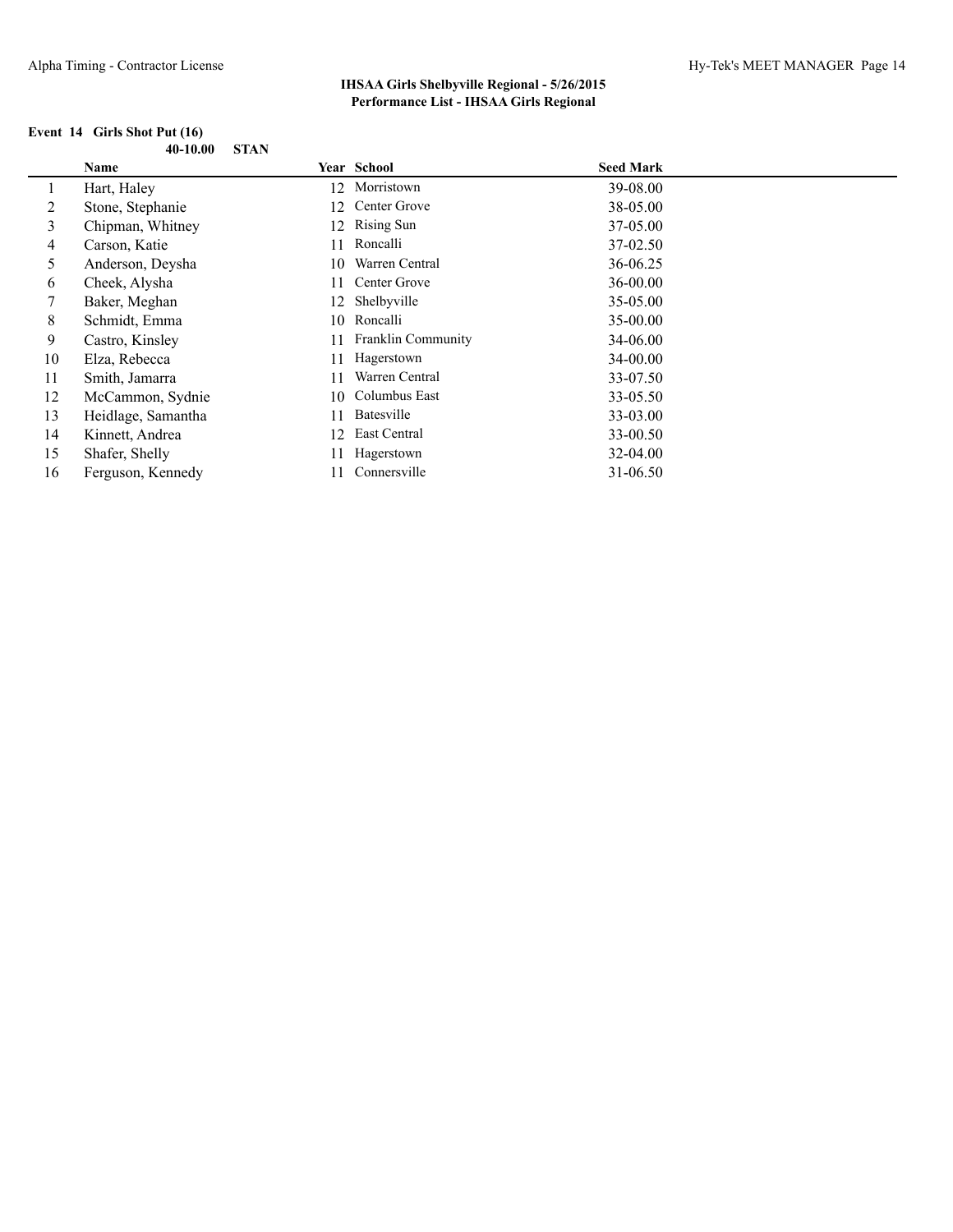#### **Event 14 Girls Shot Put (16) 40-10.00 STAN**

|    | Name               |    | Year School        | <b>Seed Mark</b> |
|----|--------------------|----|--------------------|------------------|
|    | Hart, Haley        |    | 12 Morristown      | 39-08.00         |
| 2  | Stone, Stephanie   | 12 | Center Grove       | 38-05.00         |
| 3  | Chipman, Whitney   | 12 | <b>Rising Sun</b>  | 37-05.00         |
| 4  | Carson, Katie      | 11 | Roncalli           | 37-02.50         |
| 5  | Anderson, Deysha   | 10 | Warren Central     | 36-06.25         |
| 6  | Cheek, Alysha      | 11 | Center Grove       | $36 - 00.00$     |
|    | Baker, Meghan      |    | 12 Shelbyville     | 35-05.00         |
| 8  | Schmidt, Emma      |    | 10 Roncalli        | 35-00.00         |
| 9  | Castro, Kinsley    | 11 | Franklin Community | 34-06.00         |
| 10 | Elza, Rebecca      | 11 | Hagerstown         | 34-00.00         |
| 11 | Smith, Jamarra     | 11 | Warren Central     | 33-07.50         |
| 12 | McCammon, Sydnie   | 10 | Columbus East      | 33-05.50         |
| 13 | Heidlage, Samantha | 11 | <b>Batesville</b>  | 33-03.00         |
| 14 | Kinnett, Andrea    | 12 | East Central       | 33-00.50         |
| 15 | Shafer, Shelly     |    | Hagerstown         | 32-04.00         |
| 16 | Ferguson, Kennedy  |    | Connersville       | 31-06.50         |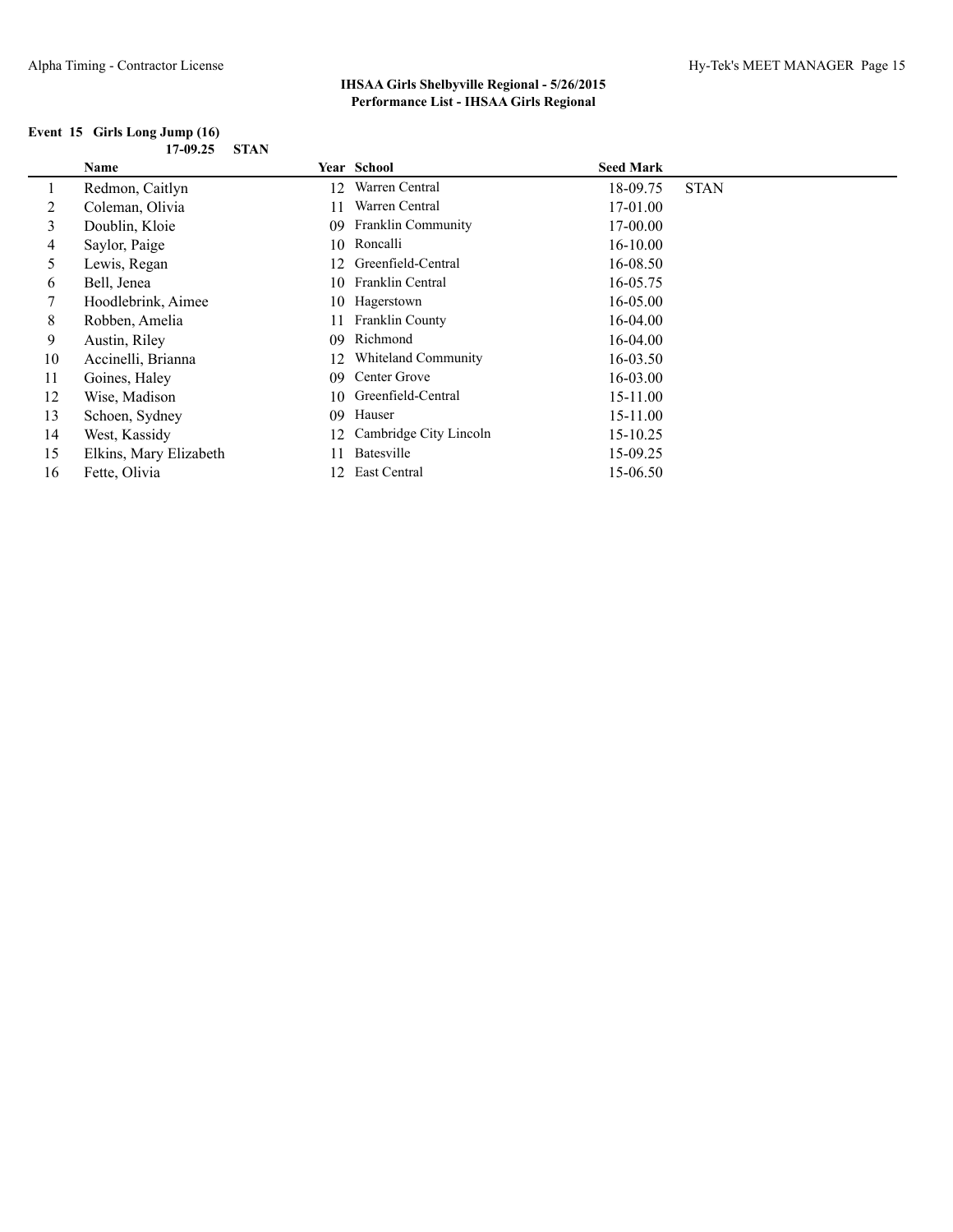### **Event 15 Girls Long Jump (16) 17-09.25 STAN**

|    | <b>Name</b>            |     | <b>Year School</b>        | <b>Seed Mark</b> |             |
|----|------------------------|-----|---------------------------|------------------|-------------|
|    | Redmon, Caitlyn        | 12  | Warren Central            | 18-09.75         | <b>STAN</b> |
| 2  | Coleman, Olivia        | 11  | Warren Central            | 17-01.00         |             |
| 3  | Doublin, Kloie         | 09  | <b>Franklin Community</b> | 17-00.00         |             |
| 4  | Saylor, Paige          | 10  | Roncalli                  | $16 - 10.00$     |             |
| 5  | Lewis, Regan           | 12  | Greenfield-Central        | 16-08.50         |             |
| 6  | Bell, Jenea            | 10. | Franklin Central          | 16-05.75         |             |
|    | Hoodlebrink, Aimee     |     | 10 Hagerstown             | 16-05.00         |             |
| 8  | Robben, Amelia         | 11  | <b>Franklin County</b>    | 16-04.00         |             |
| 9  | Austin, Riley          | 09  | Richmond                  | 16-04.00         |             |
| 10 | Accinelli, Brianna     | 12  | Whiteland Community       | $16 - 03.50$     |             |
| 11 | Goines, Haley          | 09  | Center Grove              | $16 - 03.00$     |             |
| 12 | Wise, Madison          | 10  | Greenfield-Central        | 15-11.00         |             |
| 13 | Schoen, Sydney         | 09  | Hauser                    | 15-11.00         |             |
| 14 | West, Kassidy          | 12  | Cambridge City Lincoln    | 15-10.25         |             |
| 15 | Elkins, Mary Elizabeth | 11  | Batesville                | 15-09.25         |             |
| 16 | Fette, Olivia          | 12  | East Central              | 15-06.50         |             |